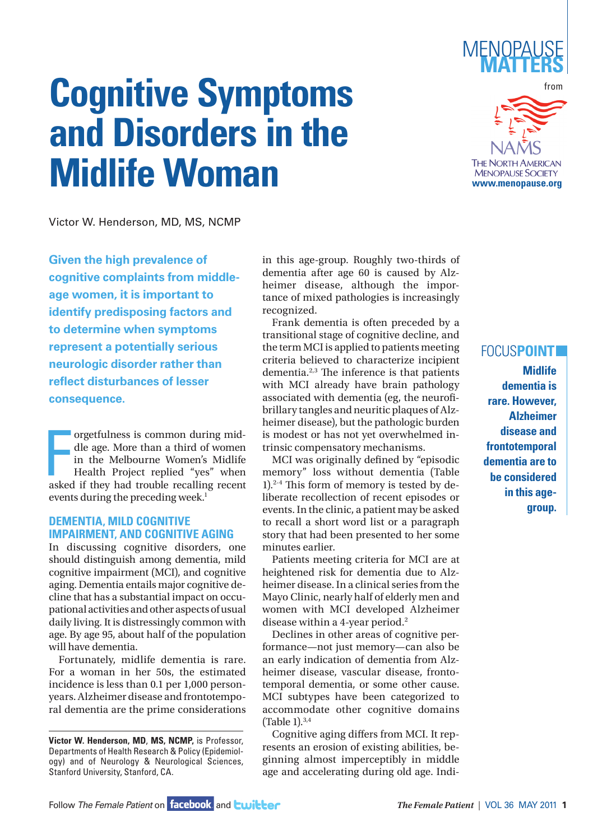

# **Cognitive Symptoms and Disorders in the Midlife Woman**



Victor W. Henderson, MD, MS, NCMP

**Given the high prevalence of cognitive complaints from middleage women, it is important to identify predisposing factors and to determine when symptoms represent a potentially serious neurologic disorder rather than reflect disturbances of lesser consequence.**

orgetfulness is common during mid-<br>dle age. More than a third of women<br>in the Melbourne Women's Midlife<br>Health Project replied "yes" when<br>asked if they had trouble recalling recent orgetfulness is common during middle age. More than a third of women in the Melbourne Women's Midlife Health Project replied "yes" when events during the preceding week.<sup>1</sup>

## **DEMENTIA, MILD COGNITIVE IMPAIRMENT, AND COGNITIVE AGING**

In discussing cognitive disorders, one should distinguish among dementia, mild cognitive impairment (MCI), and cognitive aging. Dementia entails major cognitive decline that has a substantial impact on occupational activities and other aspects of usual daily living. It is distressingly common with age. By age 95, about half of the population will have dementia.

Fortunately, midlife dementia is rare. For a woman in her 50s, the estimated incidence is less than 0.1 per 1,000 personyears. Alzheimer disease and frontotemporal dementia are the prime considerations in this age-group. Roughly two-thirds of dementia after age 60 is caused by Alzheimer disease, although the importance of mixed pathologies is increasingly recognized.

Frank dementia is often preceded by a transitional stage of cognitive decline, and the term MCI is applied to patients meeting criteria believed to characterize incipient dementia.2,3 The inference is that patients with MCI already have brain pathology associated with dementia (eg, the neurofibrillary tangles and neuritic plaques of Alzheimer disease), but the pathologic burden is modest or has not yet overwhelmed intrinsic compensatory mechanisms.

MCI was originally defined by "episodic memory" loss without dementia (Table 1).2-4 This form of memory is tested by deliberate recollection of recent episodes or events. In the clinic, a patient may be asked to recall a short word list or a paragraph story that had been presented to her some minutes earlier.

Patients meeting criteria for MCI are at heightened risk for dementia due to Alzheimer disease. In a clinical series from the Mayo Clinic, nearly half of elderly men and women with MCI developed Alzheimer disease within a 4-year period.2

Declines in other areas of cognitive performance—not just memory—can also be an early indication of dementia from Alzheimer disease, vascular disease, frontotemporal dementia, or some other cause. MCI subtypes have been categorized to accommodate other cognitive domains (Table 1).3,4

Cognitive aging differs from MCI. It represents an erosion of existing abilities, beginning almost imperceptibly in middle age and accelerating during old age. Indi-

## FOCUS**POINT**

**Midlife dementia is rare. However, Alzheimer disease and frontotemporal dementia are to be considered in this age group.** 

**Victor W. Henderson, MD**, **MS, NCMP,** is Professor, Departments of Health Research & Policy (Epidemiology) and of Neurology & Neurological Sciences, Stanford University, Stanford, CA.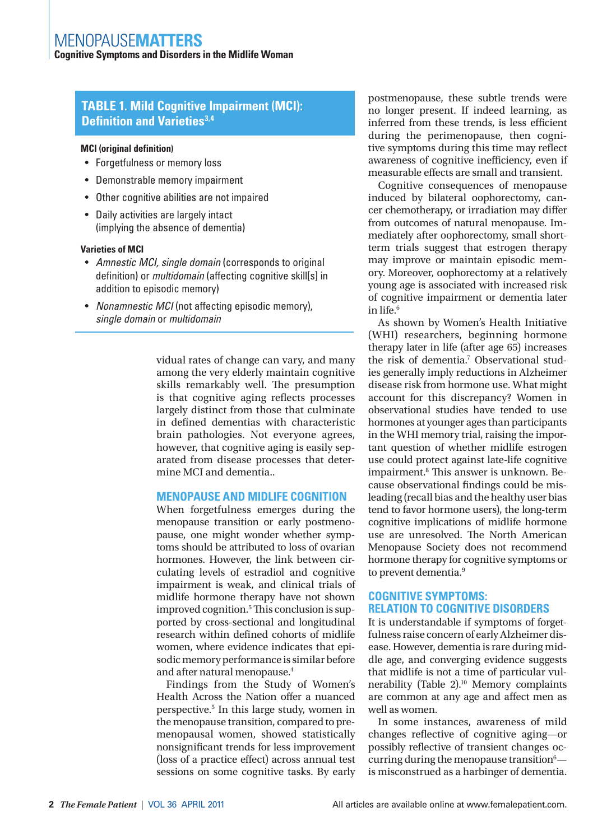**Cognitive Symptoms and Disorders in the Midlife Woman**

# **TABLE 1. Mild Cognitive Impairment (MCI): Definition and Varieties**<sup>3,4</sup>

#### **MCI (original definition)**

- Forgetfulness or memory loss
- Demonstrable memory impairment
- Other cognitive abilities are not impaired
- Daily activities are largely intact (implying the absence of dementia)

#### **Varieties of MCI**

- *Amnestic MCI, single domain* (corresponds to original definition) or *multidomain* (affecting cognitive skill[s] in addition to episodic memory)
- *Nonamnestic MCI* (not affecting episodic memory), *single domain* or *multidomain*

vidual rates of change can vary, and many among the very elderly maintain cognitive skills remarkably well. The presumption is that cognitive aging reflects processes largely distinct from those that culminate in defined dementias with characteristic brain pathologies. Not everyone agrees, however, that cognitive aging is easily separated from disease processes that determine MCI and dementia..

## **MENOPAUSE AND MIDLIFE COGNITION**

When forgetfulness emerges during the menopause transition or early postmenopause, one might wonder whether symptoms should be attributed to loss of ovarian hormones. However, the link between circulating levels of estradiol and cognitive impairment is weak, and clinical trials of midlife hormone therapy have not shown improved cognition.<sup>5</sup> This conclusion is supported by cross-sectional and longitudinal research within defined cohorts of midlife women, where evidence indicates that episodic memory performance is similar before and after natural menopause.<sup>4</sup>

Findings from the Study of Women's Health Across the Nation offer a nuanced perspective.<sup>5</sup> In this large study, women in the menopause transition, compared to premenopausal women, showed statistically nonsignificant trends for less improvement (loss of a practice effect) across annual test sessions on some cognitive tasks. By early

postmenopause, these subtle trends were no longer present. If indeed learning, as inferred from these trends, is less efficient during the perimenopause, then cognitive symptoms during this time may reflect awareness of cognitive inefficiency, even if measurable effects are small and transient.

Cognitive consequences of menopause induced by bilateral oophorectomy, cancer chemotherapy, or irradiation may differ from outcomes of natural menopause. Immediately after oophorectomy, small shortterm trials suggest that estrogen therapy may improve or maintain episodic memory. Moreover, oophorectomy at a relatively young age is associated with increased risk of cognitive impairment or dementia later in life.6

As shown by Women's Health Initiative (WHI) researchers, beginning hormone therapy later in life (after age 65) increases the risk of dementia.7 Observational studies generally imply reductions in Alzheimer disease risk from hormone use. What might account for this discrepancy? Women in observational studies have tended to use hormones at younger ages than participants in the WHI memory trial, raising the important question of whether midlife estrogen use could protect against late-life cognitive impairment.<sup>8</sup> This answer is unknown. Because observational findings could be misleading (recall bias and the healthy user bias tend to favor hormone users), the long-term cognitive implications of midlife hormone use are unresolved. The North American Menopause Society does not recommend hormone therapy for cognitive symptoms or to prevent dementia.<sup>9</sup>

#### **COGNITIVE SYMPTOMS: RELATION TO COGNITIVE DISORDERS**

It is understandable if symptoms of forgetfulness raise concern of early Alzheimer disease. However, dementia is rare during middle age, and converging evidence suggests that midlife is not a time of particular vulnerability (Table 2).<sup>10</sup> Memory complaints are common at any age and affect men as well as women.

In some instances, awareness of mild changes reflective of cognitive aging—or possibly reflective of transient changes occurring during the menopause transition<sup>6</sup>is misconstrued as a harbinger of dementia.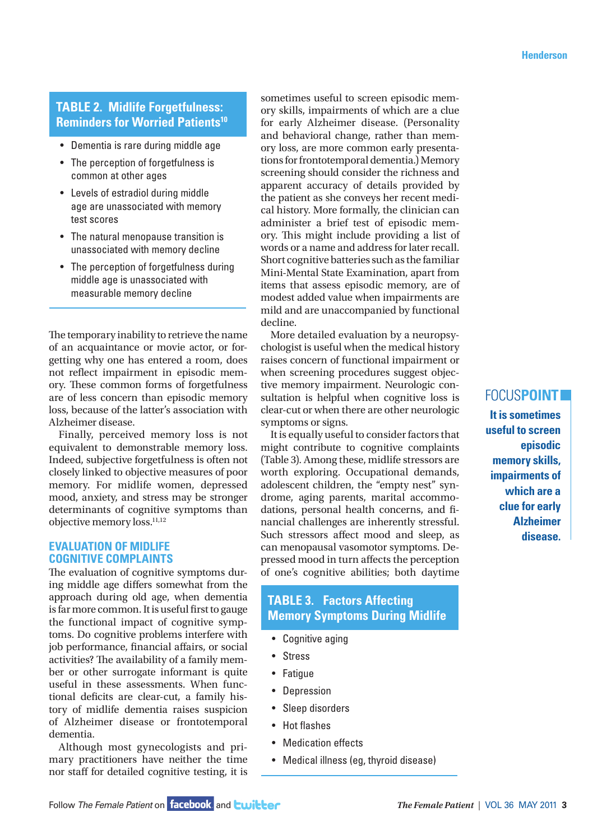# **TABLE 2. Midlife Forgetfulness: Reminders for Worried Patients10**

- Dementia is rare during middle age
- The perception of forgetfulness is common at other ages
- Levels of estradiol during middle age are unassociated with memory test scores
- The natural menopause transition is unassociated with memory decline
- The perception of forgetfulness during middle age is unassociated with measurable memory decline

The temporary inability to retrieve the name of an acquaintance or movie actor, or forgetting why one has entered a room, does not reflect impairment in episodic memory. These common forms of forgetfulness are of less concern than episodic memory loss, because of the latter's association with Alzheimer disease.

Finally, perceived memory loss is not equivalent to demonstrable memory loss. Indeed, subjective forgetfulness is often not closely linked to objective measures of poor memory. For midlife women, depressed mood, anxiety, and stress may be stronger determinants of cognitive symptoms than objective memory loss.11,12

## **EVALUATION OF MIDLIFE COGNITIVE COMPLAINTS**

The evaluation of cognitive symptoms during middle age differs somewhat from the approach during old age, when dementia is far more common. It is useful first to gauge the functional impact of cognitive symptoms. Do cognitive problems interfere with job performance, financial affairs, or social activities? The availability of a family member or other surrogate informant is quite useful in these assessments. When functional deficits are clear-cut, a family history of midlife dementia raises suspicion of Alzheimer disease or frontotemporal dementia.

Although most gynecologists and primary practitioners have neither the time nor staff for detailed cognitive testing, it is sometimes useful to screen episodic memory skills, impairments of which are a clue for early Alzheimer disease. (Personality and behavioral change, rather than memory loss, are more common early presentations for frontotemporal dementia.) Memory screening should consider the richness and apparent accuracy of details provided by the patient as she conveys her recent medical history. More formally, the clinician can administer a brief test of episodic memory. This might include providing a list of words or a name and address for later recall. Short cognitive batteries such as the familiar Mini-Mental State Examination, apart from items that assess episodic memory, are of modest added value when impairments are mild and are unaccompanied by functional decline.

More detailed evaluation by a neuropsychologist is useful when the medical history raises concern of functional impairment or when screening procedures suggest objective memory impairment. Neurologic consultation is helpful when cognitive loss is clear-cut or when there are other neurologic symptoms or signs.

It is equally useful to consider factors that might contribute to cognitive complaints (Table 3). Among these, midlife stressors are worth exploring. Occupational demands, adolescent children, the "empty nest" syndrome, aging parents, marital accommodations, personal health concerns, and financial challenges are inherently stressful. Such stressors affect mood and sleep, as can menopausal vasomotor symptoms. Depressed mood in turn affects the perception of one's cognitive abilities; both daytime

# **TABLE 3. Factors Affecting Memory Symptoms During Midlife**

- Cognitive aging
- Stress
- Fatigue
- Depression
- Sleep disorders
- Hot flashes
- Medication effects
- Medical illness (eg, thyroid disease)

# FOCUS**POINT**

**It is sometimes useful to screen episodic memory skills, impairments of which are a clue for early Alzheimer disease.**